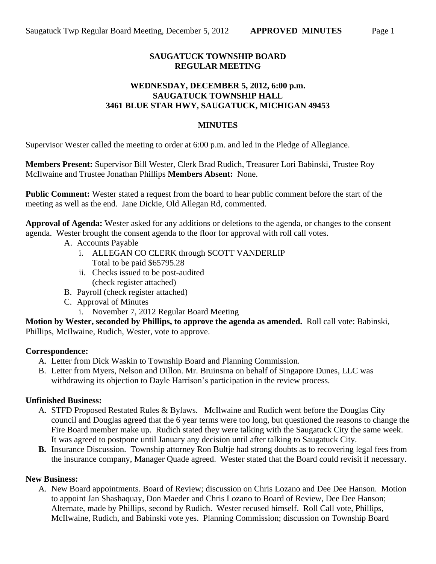## **SAUGATUCK TOWNSHIP BOARD REGULAR MEETING**

#### **WEDNESDAY, DECEMBER 5, 2012, 6:00 p.m. SAUGATUCK TOWNSHIP HALL 3461 BLUE STAR HWY, SAUGATUCK, MICHIGAN 49453**

#### **MINUTES**

Supervisor Wester called the meeting to order at 6:00 p.m. and led in the Pledge of Allegiance.

**Members Present:** Supervisor Bill Wester, Clerk Brad Rudich, Treasurer Lori Babinski, Trustee Roy McIlwaine and Trustee Jonathan Phillips **Members Absent:** None.

**Public Comment:** Wester stated a request from the board to hear public comment before the start of the meeting as well as the end. Jane Dickie, Old Allegan Rd, commented.

**Approval of Agenda:** Wester asked for any additions or deletions to the agenda, or changes to the consent agenda. Wester brought the consent agenda to the floor for approval with roll call votes.

- A. Accounts Payable
	- i. ALLEGAN CO CLERK through SCOTT VANDERLIP Total to be paid \$65795.28
	- ii. Checks issued to be post-audited (check register attached)
- B. Payroll (check register attached)
- C. Approval of Minutes
	- i. November 7, 2012 Regular Board Meeting

**Motion by Wester, seconded by Phillips, to approve the agenda as amended.** Roll call vote: Babinski, Phillips, McIlwaine, Rudich, Wester, vote to approve.

## **Correspondence:**

- A. Letter from Dick Waskin to Township Board and Planning Commission.
- B. Letter from Myers, Nelson and Dillon. Mr. Bruinsma on behalf of Singapore Dunes, LLC was withdrawing its objection to Dayle Harrison's participation in the review process.

## **Unfinished Business:**

- A. STFD Proposed Restated Rules & Bylaws. McIlwaine and Rudich went before the Douglas City council and Douglas agreed that the 6 year terms were too long, but questioned the reasons to change the Fire Board member make up. Rudich stated they were talking with the Saugatuck City the same week. It was agreed to postpone until January any decision until after talking to Saugatuck City.
- **B.** Insurance Discussion. Township attorney Ron Bultje had strong doubts as to recovering legal fees from the insurance company, Manager Quade agreed. Wester stated that the Board could revisit if necessary.

#### **New Business:**

A. New Board appointments. Board of Review; discussion on Chris Lozano and Dee Dee Hanson. Motion to appoint Jan Shashaquay, Don Maeder and Chris Lozano to Board of Review, Dee Dee Hanson; Alternate, made by Phillips, second by Rudich. Wester recused himself. Roll Call vote, Phillips, McIlwaine, Rudich, and Babinski vote yes. Planning Commission; discussion on Township Board